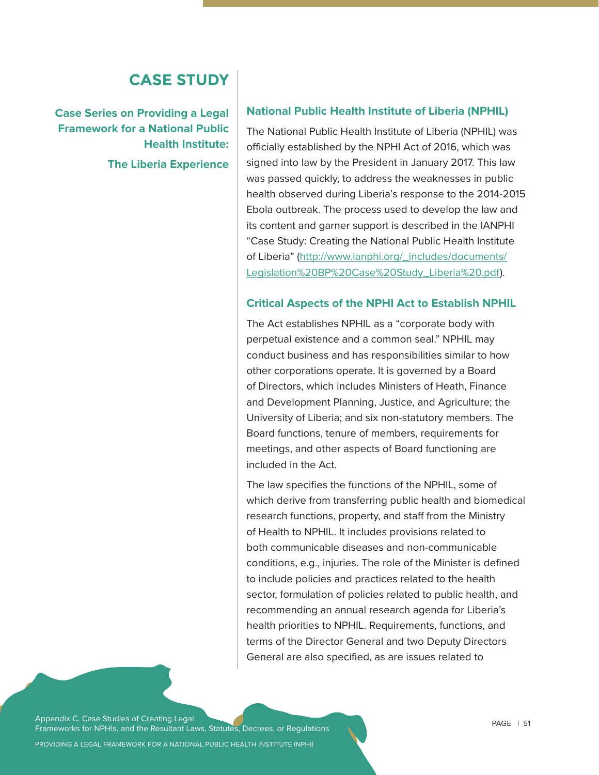## **CASE STUDY**

**Case Series on Providing a Legal Framework for a National Public Health Institute: The Liberia Experience** 

#### **National Public Health Institute of Liberia (NPHIL)**

The National Public Health Institute of Liberia (NPHIL) was officially established by the NPHI Act of 2016, which was signed into law by the President in January 2017. This law was passed quickly, to address the weaknesses in public health observed during Liberia's response to the 2014-2015 Ebola outbreak. The process used to develop the law and its content and garner support is described in the IANPHI "Case Study: Creating the National Public Health Institute of Liberia" (http://www.ianphi.org/\_includes/documents/ Legislation%20BP%20Case%20Study\_Liberia%20.pdf).

#### **Critical Aspects of the NPHI Act to Establish NPHIL**

The Act establishes NPHIL as a "corporate body with perpetual existence and a common seal." NPHIL may conduct business and has responsibilities similar to how other corporations operate. It is governed by a Board of Directors, which includes Ministers of Heath, Finance and Development Planning, Justice, and Agriculture; the University of Liberia; and six non-statutory members. The Board functions, tenure of members, requirements for meetings, and other aspects of Board functioning are included in the Act.

The law specifies the functions of the NPHIL, some of which derive from transferring public health and biomedical research functions, property, and staff from the Ministry of Health to NPHIL. It includes provisions related to both communicable diseases and non-communicable conditions, e.g., injuries. The role of the Minister is defined to include policies and practices related to the health sector, formulation of policies related to public health, and recommending an annual research agenda for Liberia's health priorities to NPHIL. Requirements, functions, and terms of the Director General and two Deputy Directors General are also specified, as are issues related to

Appendix C. Case Studies of Creating Legal Frameworks for NPHIs, and the Resultant Laws, Statutes, Decrees, or Regulations

PROVIDING A LEGAL FRAMEWORK FOR A NATIONAL PUBLIC HEALTH INSTITUTE (NPHI)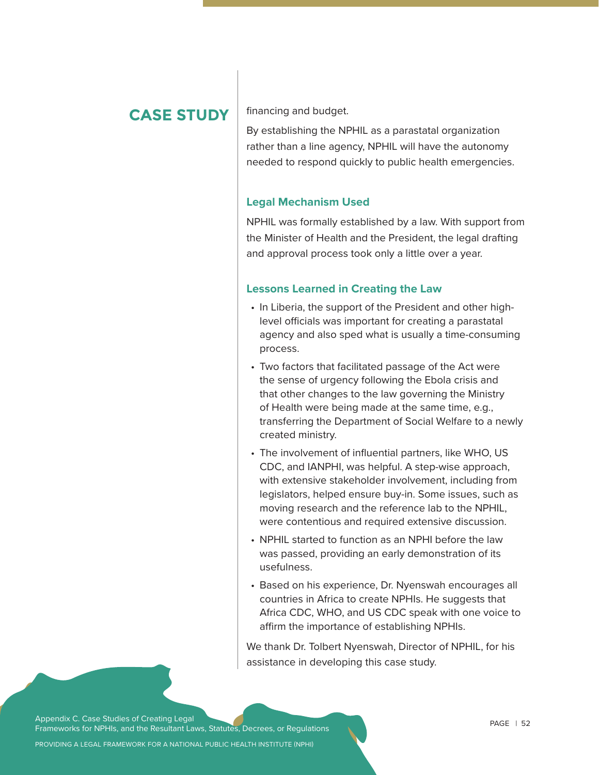## **CASE STUDY**

financing and budget.

By establishing the NPHIL as a parastatal organization rather than a line agency, NPHIL will have the autonomy needed to respond quickly to public health emergencies.

#### **Legal Mechanism Used**

NPHIL was formally established by a law. With support from the Minister of Health and the President, the legal drafting and approval process took only a little over a year.

#### **Lessons Learned in Creating the Law**

- In Liberia, the support of the President and other highlevel officials was important for creating a parastatal agency and also sped what is usually a time-consuming process.
- Two factors that facilitated passage of the Act were the sense of urgency following the Ebola crisis and that other changes to the law governing the Ministry of Health were being made at the same time, e.g., transferring the Department of Social Welfare to a newly created ministry.
- The involvement of influential partners, like WHO, US CDC, and IANPHI, was helpful. A step-wise approach, with extensive stakeholder involvement, including from legislators, helped ensure buy-in. Some issues, such as moving research and the reference lab to the NPHIL, were contentious and required extensive discussion.
- NPHIL started to function as an NPHI before the law was passed, providing an early demonstration of its usefulness.
- Based on his experience, Dr. Nyenswah encourages all countries in Africa to create NPHIs. He suggests that Africa CDC, WHO, and US CDC speak with one voice to affirm the importance of establishing NPHIs.

We thank Dr. Tolbert Nyenswah, Director of NPHIL, for his assistance in developing this case study.

Appendix C. Case Studies of Creating Legal Frameworks for NPHIs, and the Resultant Laws, Statutes, Decrees, or Regulations

PROVIDING A LEGAL FRAMEWORK FOR A NATIONAL PUBLIC HEALTH INSTITUTE (NPHI)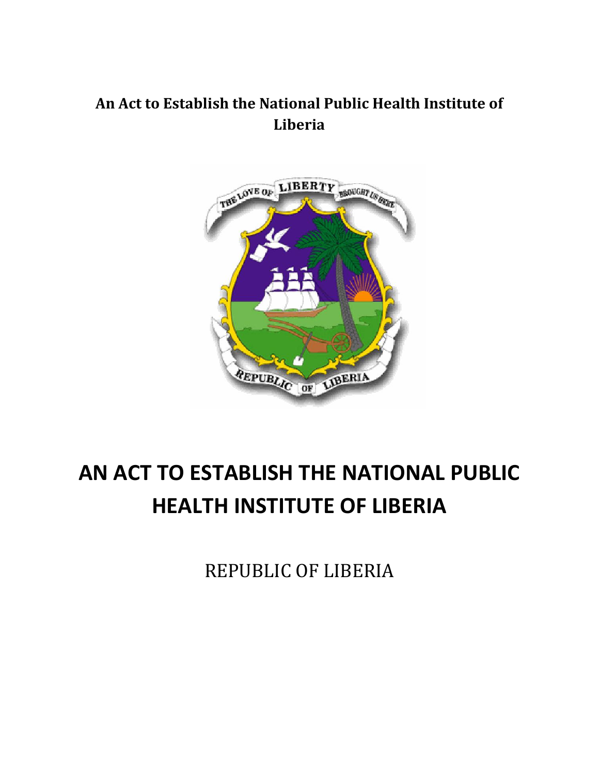# **An Act to Establish the National Public Health Institute of Liberia**



# **AN ACT TO ESTABLISH THE NATIONAL PUBLIC HEALTH INSTITUTE OF LIBERIA**

REPUBLIC OF LIBERIA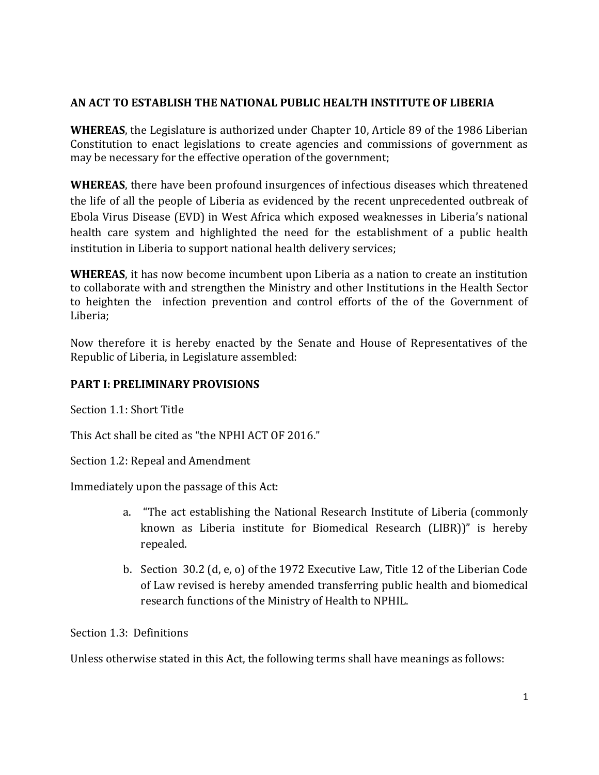#### **AN ACT TO ESTABLISH THE NATIONAL PUBLIC HEALTH INSTITUTE OF LIBERIA**

**WHEREAS**, the Legislature is authorized under Chapter 10, Article 89 of the 1986 Liberian Constitution to enact legislations to create agencies and commissions of government as may be necessary for the effective operation of the government;

**WHEREAS**, there have been profound insurgences of infectious diseases which threatened the life of all the people of Liberia as evidenced by the recent unprecedented outbreak of Ebola Virus Disease (EVD) in West Africa which exposed weaknesses in Liberia's national health care system and highlighted the need for the establishment of a public health institution in Liberia to support national health delivery services;

**WHEREAS**, it has now become incumbent upon Liberia as a nation to create an institution to collaborate with and strengthen the Ministry and other Institutions in the Health Sector to heighten the infection prevention and control efforts of the of the Government of Liberia;

Now therefore it is hereby enacted by the Senate and House of Representatives of the Republic of Liberia, in Legislature assembled:

#### **PART I: PRELIMINARY PROVISIONS**

Section 1.1: Short Title

This Act shall be cited as "the NPHI ACT OF 2016."

Section 1.2: Repeal and Amendment

Immediately upon the passage of this Act:

- a. "The act establishing the National Research Institute of Liberia (commonly known as Liberia institute for Biomedical Research (LIBR))" is hereby repealed.
- b. Section 30.2 (d, e, o) of the 1972 Executive Law, Title 12 of the Liberian Code of Law revised is hereby amended transferring public health and biomedical research functions of the Ministry of Health to NPHIL.

Section 1.3: Definitions

Unless otherwise stated in this Act, the following terms shall have meanings as follows: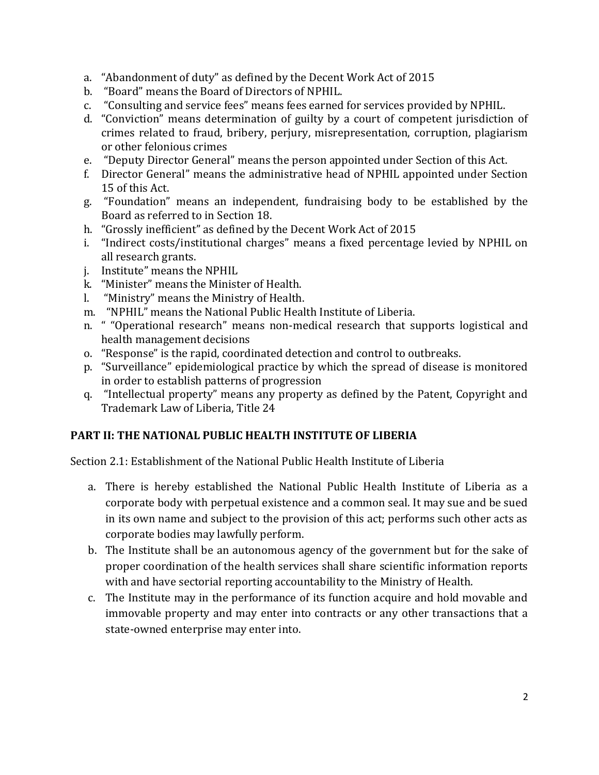- a. "Abandonment of duty" as defined by the Decent Work Act of 2015
- b. "Board" means the Board of Directors of NPHIL.
- c. "Consulting and service fees" means fees earned for services provided by NPHIL.
- d. "Conviction" means determination of guilty by a court of competent jurisdiction of crimes related to fraud, bribery, perjury, misrepresentation, corruption, plagiarism or other felonious crimes
- e. "Deputy Director General" means the person appointed under Section of this Act.
- f. Director General" means the administrative head of NPHIL appointed under Section 15 of this Act.
- g. "Foundation" means an independent, fundraising body to be established by the Board as referred to in Section 18.
- h. "Grossly inefficient" as defined by the Decent Work Act of 2015
- i. "Indirect costs/institutional charges" means a fixed percentage levied by NPHIL on all research grants.
- j. Institute" means the NPHIL
- k. "Minister" means the Minister of Health.
- l. "Ministry" means the Ministry of Health.
- m. "NPHIL" means the National Public Health Institute of Liberia.
- n. " "Operational research" means non-medical research that supports logistical and health management decisions
- o. "Response" is the rapid, coordinated detection and control to outbreaks.
- p. "Surveillance" epidemiological practice by which the spread of disease is monitored in order to establish patterns of progression
- q. "Intellectual property" means any property as defined by the Patent, Copyright and Trademark Law of Liberia, Title 24

#### **PART II: THE NATIONAL PUBLIC HEALTH INSTITUTE OF LIBERIA**

Section 2.1: Establishment of the National Public Health Institute of Liberia

- a. There is hereby established the National Public Health Institute of Liberia as a corporate body with perpetual existence and a common seal. It may sue and be sued in its own name and subject to the provision of this act; performs such other acts as corporate bodies may lawfully perform.
- b. The Institute shall be an autonomous agency of the government but for the sake of proper coordination of the health services shall share scientific information reports with and have sectorial reporting accountability to the Ministry of Health.
- c. The Institute may in the performance of its function acquire and hold movable and immovable property and may enter into contracts or any other transactions that a state-owned enterprise may enter into.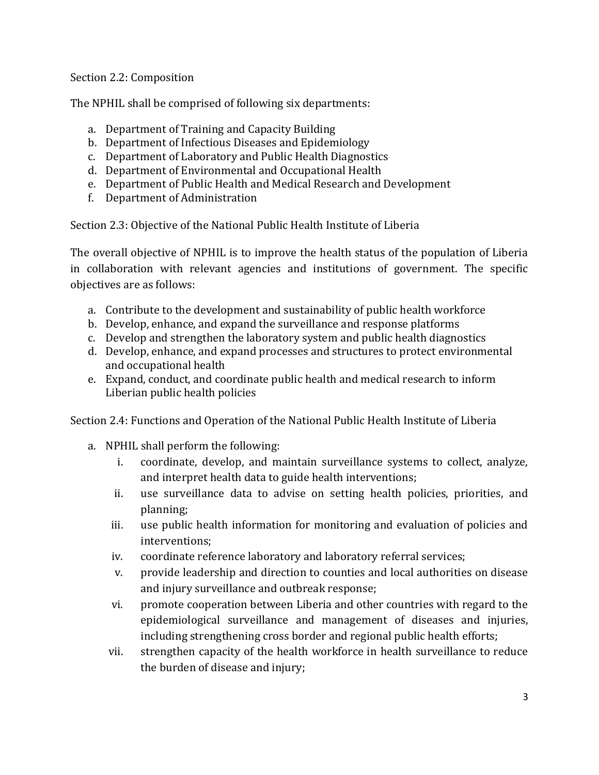#### Section 2.2: Composition

The NPHIL shall be comprised of following six departments:

- a. Department of Training and Capacity Building
- b. Department of Infectious Diseases and Epidemiology
- c. Department of Laboratory and Public Health Diagnostics
- d. Department of Environmental and Occupational Health
- e. Department of Public Health and Medical Research and Development
- f. Department of Administration

Section 2.3: Objective of the National Public Health Institute of Liberia

The overall objective of NPHIL is to improve the health status of the population of Liberia in collaboration with relevant agencies and institutions of government. The specific objectives are as follows:

- a. Contribute to the development and sustainability of public health workforce
- b. Develop, enhance, and expand the surveillance and response platforms
- c. Develop and strengthen the laboratory system and public health diagnostics
- d. Develop, enhance, and expand processes and structures to protect environmental and occupational health
- e. Expand, conduct, and coordinate public health and medical research to inform Liberian public health policies

Section 2.4: Functions and Operation of the National Public Health Institute of Liberia

- a. NPHIL shall perform the following:
	- i. coordinate, develop, and maintain surveillance systems to collect, analyze, and interpret health data to guide health interventions;
	- ii. use surveillance data to advise on setting health policies, priorities, and planning;
	- iii. use public health information for monitoring and evaluation of policies and interventions;
	- iv. coordinate reference laboratory and laboratory referral services;
	- v. provide leadership and direction to counties and local authorities on disease and injury surveillance and outbreak response;
	- vi. promote cooperation between Liberia and other countries with regard to the epidemiological surveillance and management of diseases and injuries, including strengthening cross border and regional public health efforts;
	- vii. strengthen capacity of the health workforce in health surveillance to reduce the burden of disease and injury;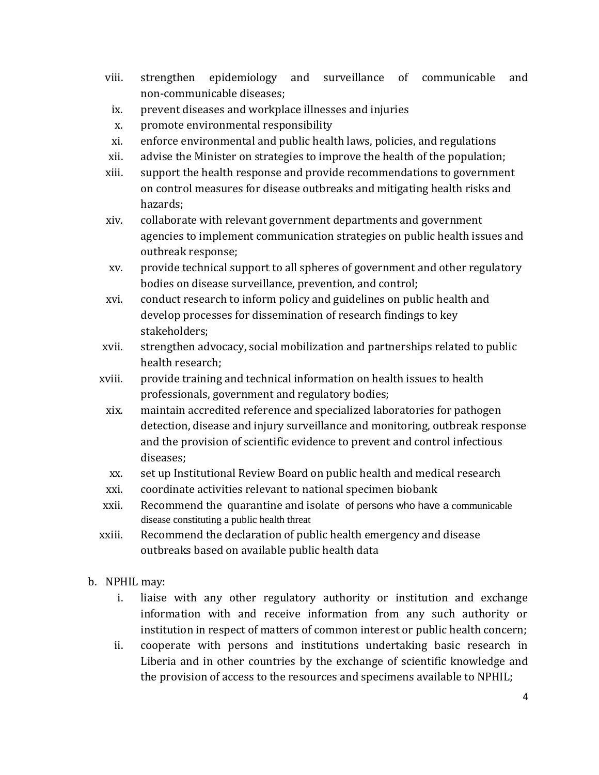- viii. strengthen epidemiology and surveillance of communicable and non-communicable diseases;
- ix. prevent diseases and workplace illnesses and injuries
- x. promote environmental responsibility
- xi. enforce environmental and public health laws, policies, and regulations
- xii. advise the Minister on strategies to improve the health of the population;
- xiii. support the health response and provide recommendations to government on control measures for disease outbreaks and mitigating health risks and hazards;
- xiv. collaborate with relevant government departments and government agencies to implement communication strategies on public health issues and outbreak response;
- xv. provide technical support to all spheres of government and other regulatory bodies on disease surveillance, prevention, and control;
- xvi. conduct research to inform policy and guidelines on public health and develop processes for dissemination of research findings to key stakeholders;
- xvii. strengthen advocacy, social mobilization and partnerships related to public health research;
- xviii. provide training and technical information on health issues to health professionals, government and regulatory bodies;
	- xix. maintain accredited reference and specialized laboratories for pathogen detection, disease and injury surveillance and monitoring, outbreak response and the provision of scientific evidence to prevent and control infectious diseases;
	- xx. set up Institutional Review Board on public health and medical research
	- xxi. coordinate activities relevant to national specimen biobank
- xxii. Recommend the quarantine and isolate of persons who have a communicable disease constituting a public health threat
- xxiii. Recommend the declaration of public health emergency and disease outbreaks based on available public health data
- b. NPHIL may:
	- i. liaise with any other regulatory authority or institution and exchange information with and receive information from any such authority or institution in respect of matters of common interest or public health concern;
	- ii. cooperate with persons and institutions undertaking basic research in Liberia and in other countries by the exchange of scientific knowledge and the provision of access to the resources and specimens available to NPHIL;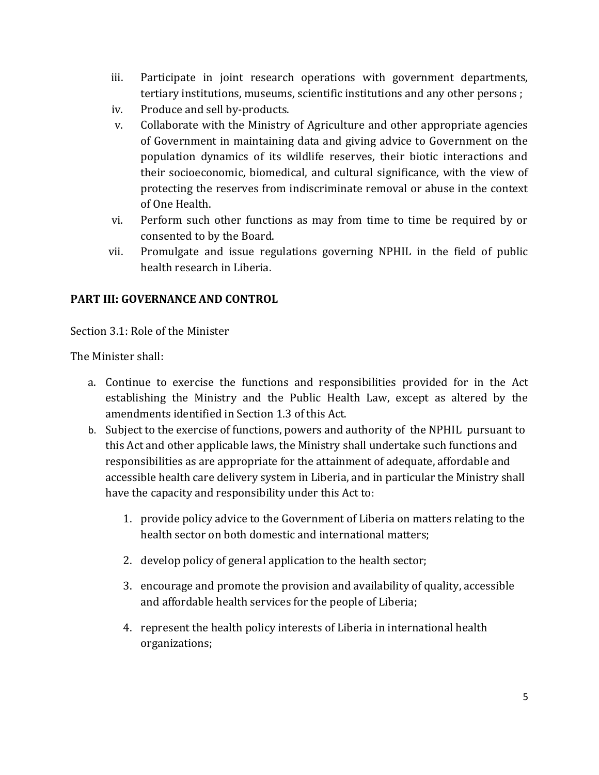- iii. Participate in joint research operations with government departments, tertiary institutions, museums, scientific institutions and any other persons ;
- iv. Produce and sell by-products.
- v. Collaborate with the Ministry of Agriculture and other appropriate agencies of Government in maintaining data and giving advice to Government on the population dynamics of its wildlife reserves, their biotic interactions and their socioeconomic, biomedical, and cultural significance, with the view of protecting the reserves from indiscriminate removal or abuse in the context of One Health.
- vi. Perform such other functions as may from time to time be required by or consented to by the Board.
- vii. Promulgate and issue regulations governing NPHIL in the field of public health research in Liberia.

#### **PART III: GOVERNANCE AND CONTROL**

Section 3.1: Role of the Minister

The Minister shall:

- a. Continue to exercise the functions and responsibilities provided for in the Act establishing the Ministry and the Public Health Law, except as altered by the amendments identified in Section 1.3 of this Act.
- b. Subject to the exercise of functions, powers and authority of the NPHIL pursuant to this Act and other applicable laws, the Ministry shall undertake such functions and responsibilities as are appropriate for the attainment of adequate, affordable and accessible health care delivery system in Liberia, and in particular the Ministry shall have the capacity and responsibility under this Act to:
	- 1. provide policy advice to the Government of Liberia on matters relating to the health sector on both domestic and international matters;
	- 2. develop policy of general application to the health sector;
	- 3. encourage and promote the provision and availability of quality, accessible and affordable health services for the people of Liberia;
	- 4. represent the health policy interests of Liberia in international health organizations;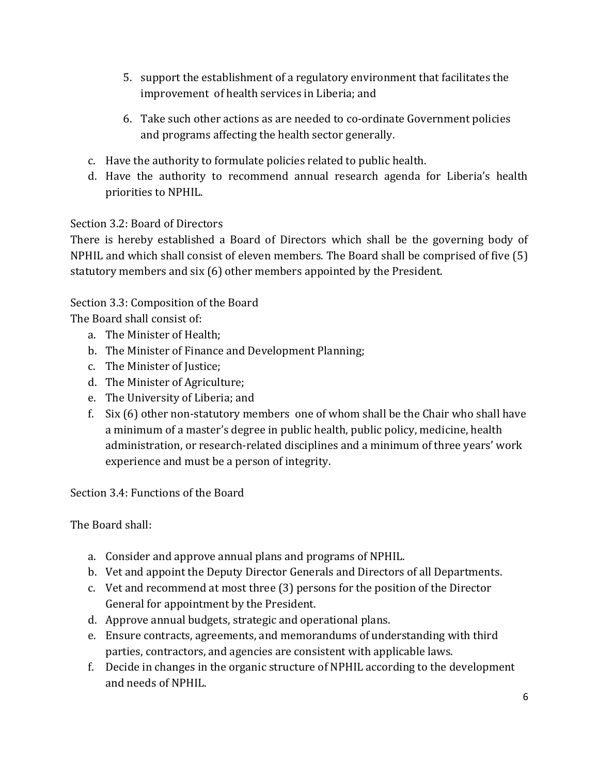- 5. support the establishment of a regulatory environment that facilitates the improvement of health services in Liberia; and
- 6. Take such other actions as are needed to co-ordinate Government policies and programs affecting the health sector generally.
- c. Have the authority to formulate policies related to public health.
- d. Have the authority to recommend annual research agenda for Liberia's health priorities to NPHIL.

#### Section 3.2: Board of Directors

There is hereby established a Board of Directors which shall be the governing body of NPHIL and which shall consist of eleven members. The Board shall be comprised of five (5) statutory members and six (6) other members appointed by the President.

### Section 3.3: Composition of the Board

The Board shall consist of:

- a. The Minister of Health;
- b. The Minister of Finance and Development Planning;
- c. The Minister of Justice;
- d. The Minister of Agriculture;
- e. The University of Liberia; and
- f. Six (6) other non-statutory members one of whom shall be the Chair who shall have a minimum of a master's degree in public health, public policy, medicine, health administration, or research-related disciplines and a minimum of three years' work experience and must be a person of integrity.

Section 3.4: Functions of the Board

The Board shall:

- a. Consider and approve annual plans and programs of NPHIL.
- b. Vet and appoint the Deputy Director Generals and Directors of all Departments.
- c. Vet and recommend at most three (3) persons for the position of the Director General for appointment by the President.
- d. Approve annual budgets, strategic and operational plans.
- e. Ensure contracts, agreements, and memorandums of understanding with third parties, contractors, and agencies are consistent with applicable laws.
- f. Decide in changes in the organic structure of NPHIL according to the development and needs of NPHIL.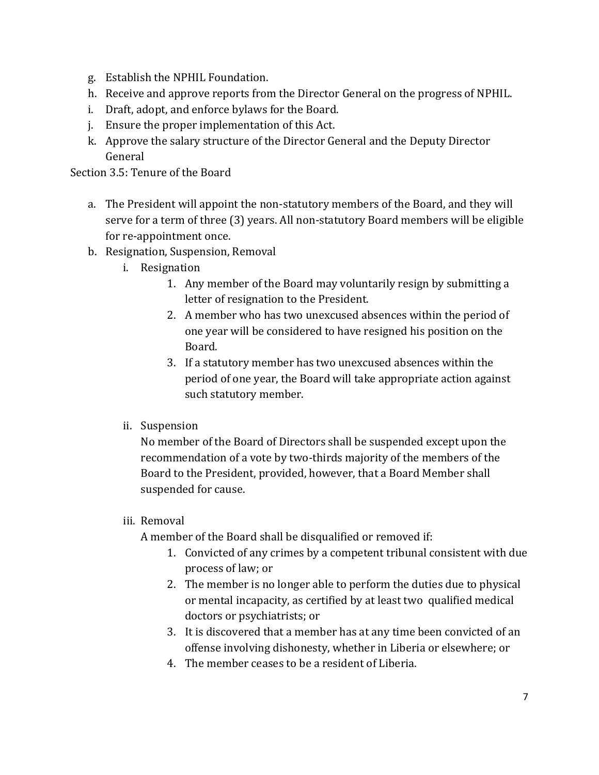- g. Establish the NPHIL Foundation.
- h. Receive and approve reports from the Director General on the progress of NPHIL.
- i. Draft, adopt, and enforce bylaws for the Board.
- j. Ensure the proper implementation of this Act.
- k. Approve the salary structure of the Director General and the Deputy Director General

Section 3.5: Tenure of the Board

- a. The President will appoint the non-statutory members of the Board, and they will serve for a term of three (3) years. All non-statutory Board members will be eligible for re-appointment once.
- b. Resignation, Suspension, Removal
	- i. Resignation
		- 1. Any member of the Board may voluntarily resign by submitting a letter of resignation to the President.
		- 2. A member who has two unexcused absences within the period of one year will be considered to have resigned his position on the Board.
		- 3. If a statutory member has two unexcused absences within the period of one year, the Board will take appropriate action against such statutory member.
	- ii. Suspension

No member of the Board of Directors shall be suspended except upon the recommendation of a vote by two-thirds majority of the members of the Board to the President, provided, however, that a Board Member shall suspended for cause.

#### iii. Removal

A member of the Board shall be disqualified or removed if:

- 1. Convicted of any crimes by a competent tribunal consistent with due process of law; or
- 2. The member is no longer able to perform the duties due to physical or mental incapacity, as certified by at least two qualified medical doctors or psychiatrists; or
- 3. It is discovered that a member has at any time been convicted of an offense involving dishonesty, whether in Liberia or elsewhere; or
- 4. The member ceases to be a resident of Liberia.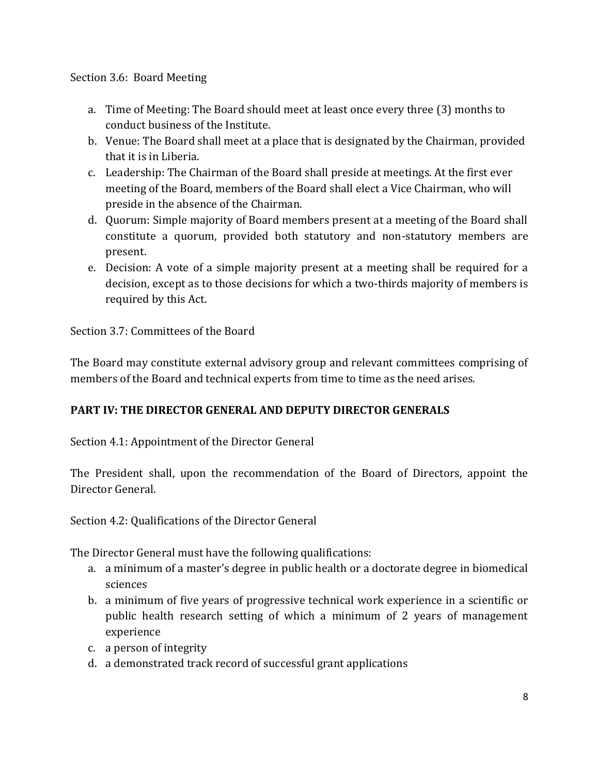#### Section 3.6: Board Meeting

- a. Time of Meeting: The Board should meet at least once every three (3) months to conduct business of the Institute.
- b. Venue: The Board shall meet at a place that is designated by the Chairman, provided that it is in Liberia.
- c. Leadership: The Chairman of the Board shall preside at meetings. At the first ever meeting of the Board, members of the Board shall elect a Vice Chairman, who will preside in the absence of the Chairman.
- d. Quorum: Simple majority of Board members present at a meeting of the Board shall constitute a quorum, provided both statutory and non-statutory members are present.
- e. Decision: A vote of a simple majority present at a meeting shall be required for a decision, except as to those decisions for which a two-thirds majority of members is required by this Act.

Section 3.7: Committees of the Board

The Board may constitute external advisory group and relevant committees comprising of members of the Board and technical experts from time to time as the need arises.

#### **PART IV: THE DIRECTOR GENERAL AND DEPUTY DIRECTOR GENERALS**

Section 4.1: Appointment of the Director General

The President shall, upon the recommendation of the Board of Directors, appoint the Director General.

Section 4.2: Qualifications of the Director General

The Director General must have the following qualifications:

- a. a minimum of a master's degree in public health or a doctorate degree in biomedical sciences
- b. a minimum of five years of progressive technical work experience in a scientific or public health research setting of which a minimum of 2 years of management experience
- c. a person of integrity
- d. a demonstrated track record of successful grant applications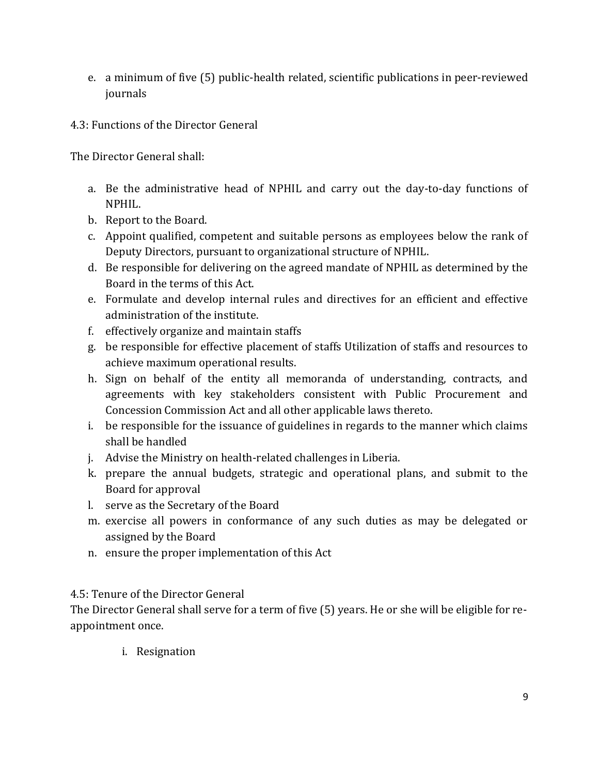- e. a minimum of five (5) public-health related, scientific publications in peer-reviewed journals
- 4.3: Functions of the Director General

The Director General shall:

- a. Be the administrative head of NPHIL and carry out the day-to-day functions of NPHIL.
- b. Report to the Board.
- c. Appoint qualified, competent and suitable persons as employees below the rank of Deputy Directors, pursuant to organizational structure of NPHIL.
- d. Be responsible for delivering on the agreed mandate of NPHIL as determined by the Board in the terms of this Act.
- e. Formulate and develop internal rules and directives for an efficient and effective administration of the institute.
- f. effectively organize and maintain staffs
- g. be responsible for effective placement of staffs Utilization of staffs and resources to achieve maximum operational results.
- h. Sign on behalf of the entity all memoranda of understanding, contracts, and agreements with key stakeholders consistent with Public Procurement and Concession Commission Act and all other applicable laws thereto.
- i. be responsible for the issuance of guidelines in regards to the manner which claims shall be handled
- j. Advise the Ministry on health-related challenges in Liberia.
- k. prepare the annual budgets, strategic and operational plans, and submit to the Board for approval
- l. serve as the Secretary of the Board
- m. exercise all powers in conformance of any such duties as may be delegated or assigned by the Board
- n. ensure the proper implementation of this Act

#### 4.5: Tenure of the Director General

The Director General shall serve for a term of five (5) years. He or she will be eligible for reappointment once.

i. Resignation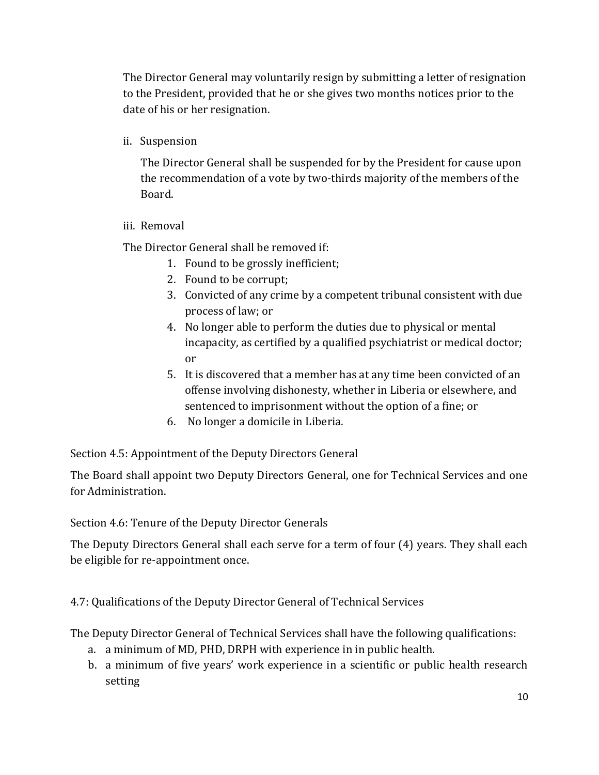The Director General may voluntarily resign by submitting a letter of resignation to the President, provided that he or she gives two months notices prior to the date of his or her resignation.

ii. Suspension

The Director General shall be suspended for by the President for cause upon the recommendation of a vote by two-thirds majority of the members of the Board.

#### iii. Removal

The Director General shall be removed if:

- 1. Found to be grossly inefficient;
- 2. Found to be corrupt;
- 3. Convicted of any crime by a competent tribunal consistent with due process of law; or
- 4. No longer able to perform the duties due to physical or mental incapacity, as certified by a qualified psychiatrist or medical doctor; or
- 5. It is discovered that a member has at any time been convicted of an offense involving dishonesty, whether in Liberia or elsewhere, and sentenced to imprisonment without the option of a fine; or
- 6. No longer a domicile in Liberia.

Section 4.5: Appointment of the Deputy Directors General

The Board shall appoint two Deputy Directors General, one for Technical Services and one for Administration.

Section 4.6: Tenure of the Deputy Director Generals

The Deputy Directors General shall each serve for a term of four (4) years. They shall each be eligible for re-appointment once.

4.7: Qualifications of the Deputy Director General of Technical Services

The Deputy Director General of Technical Services shall have the following qualifications:

- a. a minimum of MD, PHD, DRPH with experience in in public health.
- b. a minimum of five years' work experience in a scientific or public health research setting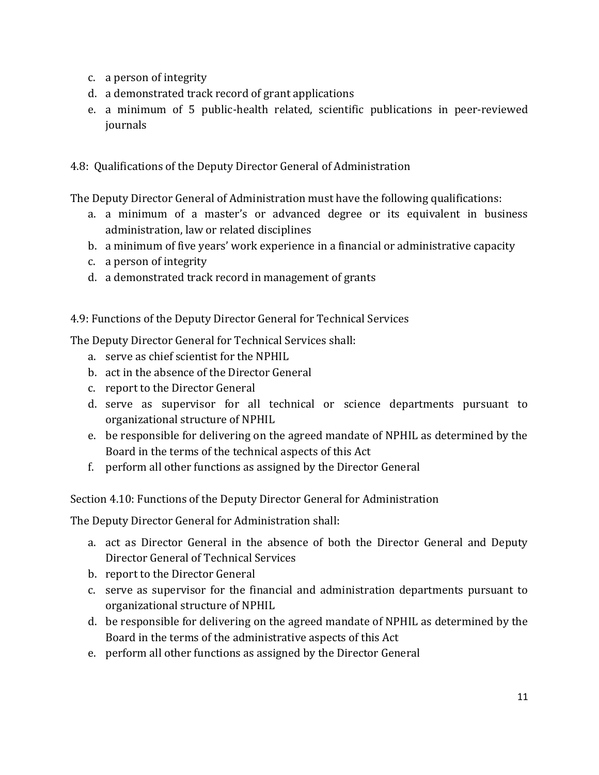- c. a person of integrity
- d. a demonstrated track record of grant applications
- e. a minimum of 5 public-health related, scientific publications in peer-reviewed journals

4.8: Qualifications of the Deputy Director General of Administration

The Deputy Director General of Administration must have the following qualifications:

- a. a minimum of a master's or advanced degree or its equivalent in business administration, law or related disciplines
- b. a minimum of five years' work experience in a financial or administrative capacity
- c. a person of integrity
- d. a demonstrated track record in management of grants

#### 4.9: Functions of the Deputy Director General for Technical Services

The Deputy Director General for Technical Services shall:

- a. serve as chief scientist for the NPHIL
- b. act in the absence of the Director General
- c. report to the Director General
- d. serve as supervisor for all technical or science departments pursuant to organizational structure of NPHIL
- e. be responsible for delivering on the agreed mandate of NPHIL as determined by the Board in the terms of the technical aspects of this Act
- f. perform all other functions as assigned by the Director General

Section 4.10: Functions of the Deputy Director General for Administration

The Deputy Director General for Administration shall:

- a. act as Director General in the absence of both the Director General and Deputy Director General of Technical Services
- b. report to the Director General
- c. serve as supervisor for the financial and administration departments pursuant to organizational structure of NPHIL
- d. be responsible for delivering on the agreed mandate of NPHIL as determined by the Board in the terms of the administrative aspects of this Act
- e. perform all other functions as assigned by the Director General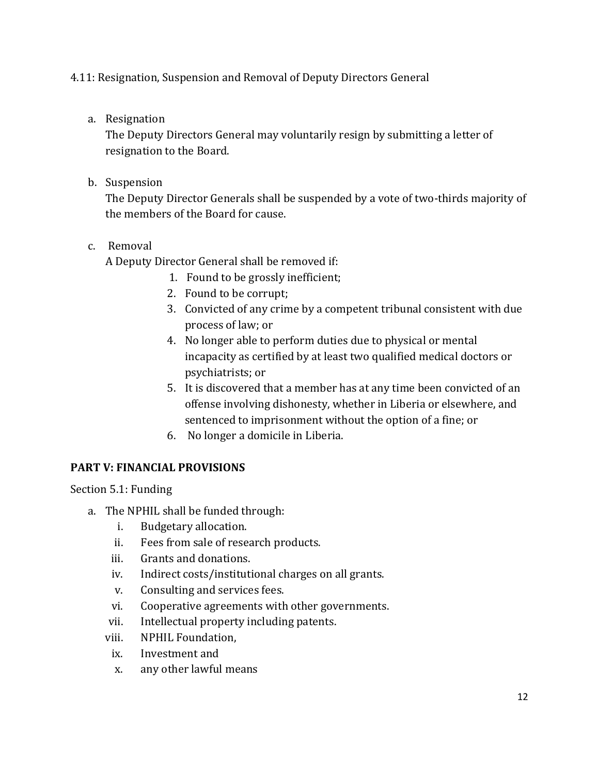#### 4.11: Resignation, Suspension and Removal of Deputy Directors General

a. Resignation

The Deputy Directors General may voluntarily resign by submitting a letter of resignation to the Board.

b. Suspension

The Deputy Director Generals shall be suspended by a vote of two-thirds majority of the members of the Board for cause.

#### c. Removal

A Deputy Director General shall be removed if:

- 1. Found to be grossly inefficient;
- 2. Found to be corrupt;
- 3. Convicted of any crime by a competent tribunal consistent with due process of law; or
- 4. No longer able to perform duties due to physical or mental incapacity as certified by at least two qualified medical doctors or psychiatrists; or
- 5. It is discovered that a member has at any time been convicted of an offense involving dishonesty, whether in Liberia or elsewhere, and sentenced to imprisonment without the option of a fine; or
- 6. No longer a domicile in Liberia.

#### **PART V: FINANCIAL PROVISIONS**

Section 5.1: Funding

- a. The NPHIL shall be funded through:
	- i. Budgetary allocation.
	- ii. Fees from sale of research products.
	- iii. Grants and donations.
	- iv. Indirect costs/institutional charges on all grants.
	- v. Consulting and services fees.
	- vi. Cooperative agreements with other governments.
	- vii. Intellectual property including patents.
	- viii. NPHIL Foundation,
	- ix. Investment and
	- x. any other lawful means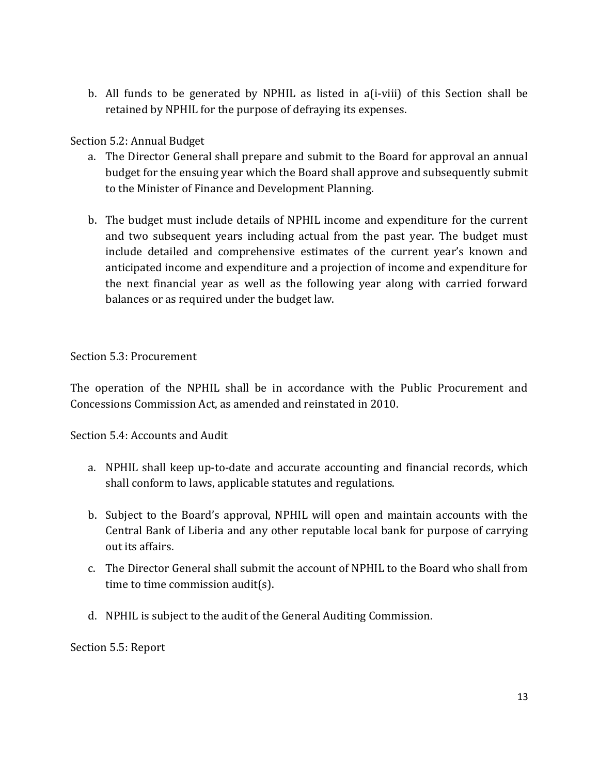b. All funds to be generated by NPHIL as listed in a(i-viii) of this Section shall be retained by NPHIL for the purpose of defraying its expenses.

#### Section 5.2: Annual Budget

- a. The Director General shall prepare and submit to the Board for approval an annual budget for the ensuing year which the Board shall approve and subsequently submit to the Minister of Finance and Development Planning.
- b. The budget must include details of NPHIL income and expenditure for the current and two subsequent years including actual from the past year. The budget must include detailed and comprehensive estimates of the current year's known and anticipated income and expenditure and a projection of income and expenditure for the next financial year as well as the following year along with carried forward balances or as required under the budget law.

Section 5.3: Procurement

The operation of the NPHIL shall be in accordance with the Public Procurement and Concessions Commission Act, as amended and reinstated in 2010.

Section 5.4: Accounts and Audit

- a. NPHIL shall keep up-to-date and accurate accounting and financial records, which shall conform to laws, applicable statutes and regulations.
- b. Subject to the Board's approval, NPHIL will open and maintain accounts with the Central Bank of Liberia and any other reputable local bank for purpose of carrying out its affairs.
- c. The Director General shall submit the account of NPHIL to the Board who shall from time to time commission audit(s).
- d. NPHIL is subject to the audit of the General Auditing Commission.

Section 5.5: Report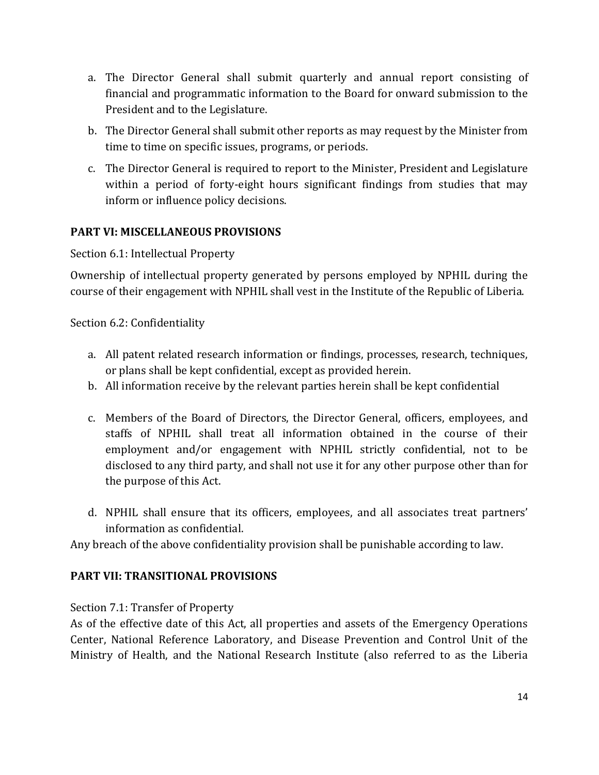- a. The Director General shall submit quarterly and annual report consisting of financial and programmatic information to the Board for onward submission to the President and to the Legislature.
- b. The Director General shall submit other reports as may request by the Minister from time to time on specific issues, programs, or periods.
- c. The Director General is required to report to the Minister, President and Legislature within a period of forty-eight hours significant findings from studies that may inform or influence policy decisions.

#### **PART VI: MISCELLANEOUS PROVISIONS**

Section 6.1: Intellectual Property

Ownership of intellectual property generated by persons employed by NPHIL during the course of their engagement with NPHIL shall vest in the Institute of the Republic of Liberia.

Section 6.2: Confidentiality

- a. All patent related research information or findings, processes, research, techniques, or plans shall be kept confidential, except as provided herein.
- b. All information receive by the relevant parties herein shall be kept confidential
- c. Members of the Board of Directors, the Director General, officers, employees, and staffs of NPHIL shall treat all information obtained in the course of their employment and/or engagement with NPHIL strictly confidential, not to be disclosed to any third party, and shall not use it for any other purpose other than for the purpose of this Act.
- d. NPHIL shall ensure that its officers, employees, and all associates treat partners' information as confidential.

Any breach of the above confidentiality provision shall be punishable according to law.

#### **PART VII: TRANSITIONAL PROVISIONS**

Section 7.1: Transfer of Property

As of the effective date of this Act, all properties and assets of the Emergency Operations Center, National Reference Laboratory, and Disease Prevention and Control Unit of the Ministry of Health, and the National Research Institute (also referred to as the Liberia